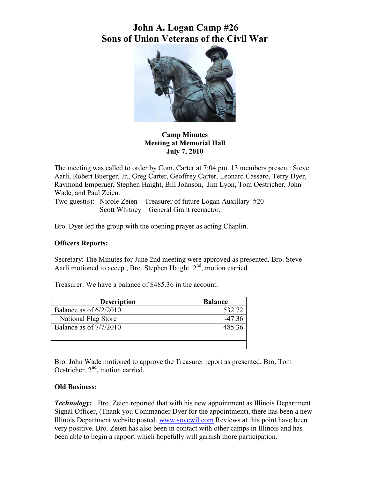

**Camp Minutes Meeting at Memorial Hall July 7, 2010** 

The meeting was called to order by Com. Carter at 7:04 pm. 13 members present: Steve Aarli, Robert Buerger, Jr., Greg Carter, Geoffrey Carter, Leonard Cassaro, Terry Dyer, Raymond Emperuer, Stephen Haight, Bill Johnson, Jim Lyon, Tom Oestricher, John Wade, and Paul Zeien.

Two guest(s): Nicole Zeien – Treasurer of future Logan Auxillary #20 Scott Whitney – General Grant reenactor.

Bro. Dyer led the group with the opening prayer as acting Chaplin.

### **Officers Reports:**

Secretary: The Minutes for June 2nd meeting were approved as presented. Bro. Steve Aarli motioned to accept, Bro. Stephen Haight 2<sup>nd</sup>, motion carried.

Treasurer: We have a balance of \$485.36 in the account.

| <b>Description</b>       | <b>Balance</b> |
|--------------------------|----------------|
| Balance as of $6/2/2010$ | 532.72         |
| National Flag Store      | -47 36         |
| Balance as of 7/7/2010   | 485.36         |
|                          |                |
|                          |                |

Bro. John Wade motioned to approve the Treasurer report as presented. Bro. Tom Oestricher. 2<sup>nd</sup>, motion carried.

### **Old Business:**

*Technology:*. Bro. Zeien reported that with his new appointment as Illinois Department Signal Officer, (Thank you Commander Dyer for the appointment), there has been a new Illinois Department website posted. [www.suvcwil.com](http://www.suvcwil.com/) Reviews at this point have been very positive. Bro. Zeien has also been in contact with other camps in Illinois and has been able to begin a rapport which hopefully will garnish more participation.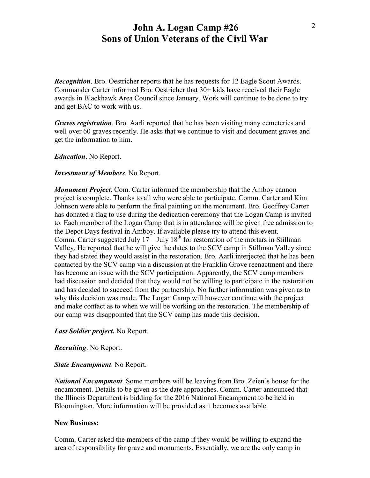*Recognition*. Bro. Oestricher reports that he has requests for 12 Eagle Scout Awards. Commander Carter informed Bro. Oestricher that 30+ kids have received their Eagle awards in Blackhawk Area Council since January. Work will continue to be done to try and get BAC to work with us.

*Graves registration*. Bro. Aarli reported that he has been visiting many cemeteries and well over 60 graves recently. He asks that we continue to visit and document graves and get the information to him.

*Education*. No Report.

*Investment of Members*. No Report.

*Monument Project*. Com. Carter informed the membership that the Amboy cannon project is complete. Thanks to all who were able to participate. Comm. Carter and Kim Johnson were able to perform the final painting on the monument. Bro. Geoffrey Carter has donated a flag to use during the dedication ceremony that the Logan Camp is invited to. Each member of the Logan Camp that is in attendance will be given free admission to the Depot Days festival in Amboy. If available please try to attend this event. Comm. Carter suggested July  $17 -$  July  $18<sup>th</sup>$  for restoration of the mortars in Stillman Valley. He reported that he will give the dates to the SCV camp in Stillman Valley since they had stated they would assist in the restoration. Bro. Aarli interjected that he has been contacted by the SCV camp via a discussion at the Franklin Grove reenactment and there has become an issue with the SCV participation. Apparently, the SCV camp members had discussion and decided that they would not be willing to participate in the restoration and has decided to succeed from the partnership. No further information was given as to why this decision was made. The Logan Camp will however continue with the project and make contact as to when we will be working on the restoration. The membership of our camp was disappointed that the SCV camp has made this decision.

*Last Soldier project.* No Report.

*Recruiting*. No Report.

#### *State Encampment*. No Report.

*National Encampment*. Some members will be leaving from Bro. Zeien's house for the encampment. Details to be given as the date approaches. Comm. Carter announced that the Illinois Department is bidding for the 2016 National Encampment to be held in Bloomington. More information will be provided as it becomes available.

### **New Business:**

Comm. Carter asked the members of the camp if they would be willing to expand the area of responsibility for grave and monuments. Essentially, we are the only camp in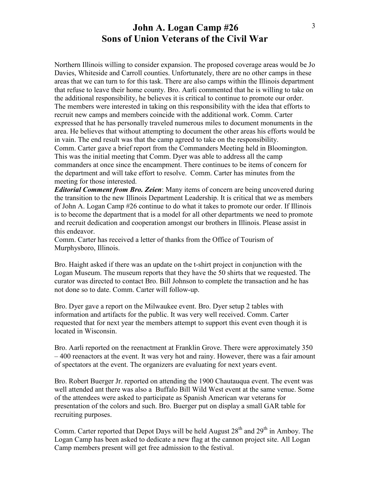Northern Illinois willing to consider expansion. The proposed coverage areas would be Jo Davies, Whiteside and Carroll counties. Unfortunately, there are no other camps in these areas that we can turn to for this task. There are also camps within the Illinois department that refuse to leave their home county. Bro. Aarli commented that he is willing to take on the additional responsibility, he believes it is critical to continue to promote our order. The members were interested in taking on this responsibility with the idea that efforts to recruit new camps and members coincide with the additional work. Comm. Carter expressed that he has personally traveled numerous miles to document monuments in the area. He believes that without attempting to document the other areas his efforts would be in vain. The end result was that the camp agreed to take on the responsibility. Comm. Carter gave a brief report from the Commanders Meeting held in Bloomington. This was the initial meeting that Comm. Dyer was able to address all the camp commanders at once since the encampment. There continues to be items of concern for the department and will take effort to resolve. Comm. Carter has minutes from the meeting for those interested.

*Editorial Comment from Bro. Zeien*: Many items of concern are being uncovered during the transition to the new Illinois Department Leadership. It is critical that we as members of John A. Logan Camp #26 continue to do what it takes to promote our order. If Illinois is to become the department that is a model for all other departments we need to promote and recruit dedication and cooperation amongst our brothers in Illinois. Please assist in this endeavor.

Comm. Carter has received a letter of thanks from the Office of Tourism of Murphysboro, Illinois.

Bro. Haight asked if there was an update on the t-shirt project in conjunction with the Logan Museum. The museum reports that they have the 50 shirts that we requested. The curator was directed to contact Bro. Bill Johnson to complete the transaction and he has not done so to date. Comm. Carter will follow-up.

Bro. Dyer gave a report on the Milwaukee event. Bro. Dyer setup 2 tables with information and artifacts for the public. It was very well received. Comm. Carter requested that for next year the members attempt to support this event even though it is located in Wisconsin.

Bro. Aarli reported on the reenactment at Franklin Grove. There were approximately 350 – 400 reenactors at the event. It was very hot and rainy. However, there was a fair amount of spectators at the event. The organizers are evaluating for next years event.

Bro. Robert Buerger Jr. reported on attending the 1900 Chautauqua event. The event was well attended ant there was also a Buffalo Bill Wild West event at the same venue. Some of the attendees were asked to participate as Spanish American war veterans for presentation of the colors and such. Bro. Buerger put on display a small GAR table for recruiting purposes.

Comm. Carter reported that Depot Days will be held August 28<sup>th</sup> and 29<sup>th</sup> in Amboy. The Logan Camp has been asked to dedicate a new flag at the cannon project site. All Logan Camp members present will get free admission to the festival.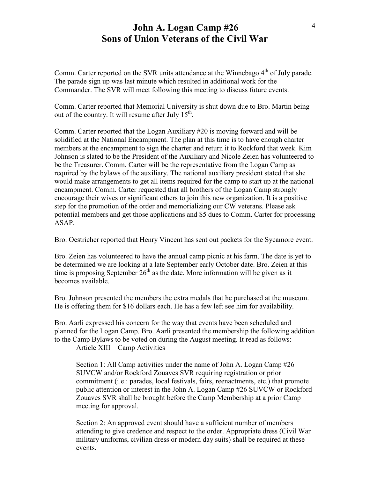Comm. Carter reported on the SVR units attendance at the Winnebago 4<sup>th</sup> of July parade. The parade sign up was last minute which resulted in additional work for the Commander. The SVR will meet following this meeting to discuss future events.

Comm. Carter reported that Memorial University is shut down due to Bro. Martin being out of the country. It will resume after July  $15<sup>th</sup>$ .

Comm. Carter reported that the Logan Auxiliary #20 is moving forward and will be solidified at the National Encampment. The plan at this time is to have enough charter members at the encampment to sign the charter and return it to Rockford that week. Kim Johnson is slated to be the President of the Auxiliary and Nicole Zeien has volunteered to be the Treasurer. Comm. Carter will be the representative from the Logan Camp as required by the bylaws of the auxiliary. The national auxiliary president stated that she would make arrangements to get all items required for the camp to start up at the national encampment. Comm. Carter requested that all brothers of the Logan Camp strongly encourage their wives or significant others to join this new organization. It is a positive step for the promotion of the order and memorializing our CW veterans. Please ask potential members and get those applications and \$5 dues to Comm. Carter for processing ASAP.

Bro. Oestricher reported that Henry Vincent has sent out packets for the Sycamore event.

Bro. Zeien has volunteered to have the annual camp picnic at his farm. The date is yet to be determined we are looking at a late September early October date. Bro. Zeien at this time is proposing September  $26<sup>th</sup>$  as the date. More information will be given as it becomes available.

Bro. Johnson presented the members the extra medals that he purchased at the museum. He is offering them for \$16 dollars each. He has a few left see him for availability.

Bro. Aarli expressed his concern for the way that events have been scheduled and planned for the Logan Camp. Bro. Aarli presented the membership the following addition to the Camp Bylaws to be voted on during the August meeting. It read as follows:

Article XIII – Camp Activities

Section 1: All Camp activities under the name of John A. Logan Camp #26 SUVCW and/or Rockford Zouaves SVR requiring registration or prior commitment (i.e.: parades, local festivals, fairs, reenactments, etc.) that promote public attention or interest in the John A. Logan Camp #26 SUVCW or Rockford Zouaves SVR shall be brought before the Camp Membership at a prior Camp meeting for approval.

Section 2: An approved event should have a sufficient number of members attending to give credence and respect to the order. Appropriate dress (Civil War military uniforms, civilian dress or modern day suits) shall be required at these events.